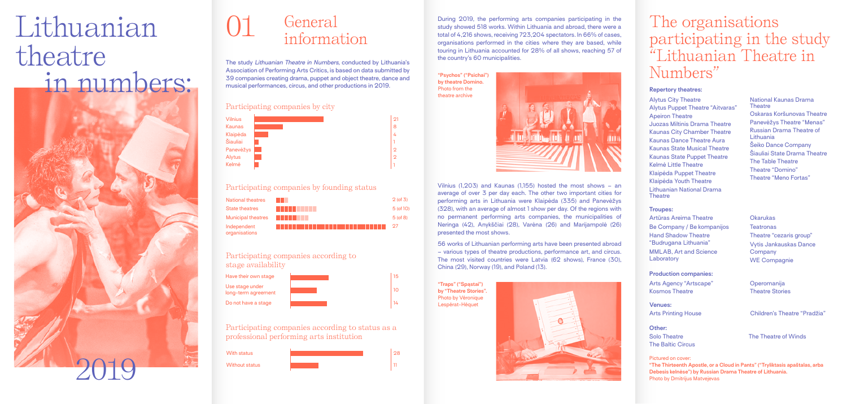The study *Lithuanian Theatre in Numbers*, conducted by Lithuania's Association of Performing Arts Critics, is based on data submitted by 39 companies creating drama, puppet and object theatre, dance and musical performances, circus, and other productions in 2019.

During 2019, the performing arts companies participating in the study showed 518 works. Within Lithuania and abroad, there were a total of 4,216 shows, receiving 723,204 spectators. In 66% of cases, organisations performed in the cities where they are based, while touring in Lithuania accounted for 28% of all shows, reaching 57 of the country's 60 municipalities.

> Vilnius (1,203) and Kaunas (1,155) hosted the most shows – an average of over 3 per day each. The other two important cities for performing arts in Lithuania were Klaipėda (335) and Panevėžys (328), with an average of almost 1 show per day. Of the regions with no permanent performing arts companies, the municipalities of Neringa (42), Anykščiai (28), Varėna (26) and Marijampolė (26) presented the most shows.

Alytus City Theatre Alytus Puppet Theatre "Aitvaras" Apeiron Theatre Juozas Miltinis Drama Theatre Kaunas City Chamber Theatre Kaunas Dance Theatre Aura Kaunas State Musical Theatre Kaunas State Puppet Theatre Kelmė Little Theatre Klaipėda Puppet Theatre Klaipėda Youth Theatre Lithuanian National Drama **Theatre** 

56 works of Lithuanian performing arts have been presented abroad – various types of theatre productions, performance art, and circus. The most visited countries were Latvia (62 shows), France (30), China (29), Norway (19), and Poland (13).

> **Operomanija** Theatre Stories

Arts Printing House Children's Theatre "Pradžia"

Artūras Areima Theatre Be Company / Be kompanijos Hand Shadow Theatre "Budrugana Lithuania" MMLAB, Art and Science **Laboratory** 

# 01 General information

**"Psychos" ("Psichai") by theatre Domino.**  Photo from the theatre archive



**Okarukas Teatronas** Theatre "cezaris group" Vytis Jankauskas Dance Company WE Compagnie

#### **"Traps" ("Spąstai") by "Theatre Stories".**  Photo by Véronique Lespérat-Héquet

Pictured on cover: **"The Thirteenth Apostle, or a Cloud in Pants" ("Tryliktasis apaštalas, arba Debesis kelnėse") by Russian Drama Theatre of Lithuania.**  Photo by Dmitrijus Matvejevas

### The organisations participating in the study "Lithuanian Theatre in Numbers"

#### **Repertory theatres:**

National Kaunas Drama **Theatre** Oskaras Koršunovas Theatre Panevėžys Theatre "Menas" Russian Drama Theatre of Lithuania Šeiko Dance Company Šiauliai State Drama Theatre The Table Theatre Theatre "Domino" Theatre "Meno Fortas"

**Other:** Solo Theatre The Baltic Circus

The Theatre of Winds

**Venues:**

#### **Production companies:**

Arts Agency "Artscape" Kosmos Theatre

#### **Troupes:**



# Lithuanian theatre in numbers:



#### Participating companies by city

#### Participating companies by founding status



#### Participating companies according to stage availability



Participating companies according to status as a professional performing arts institution

### With status



28 11